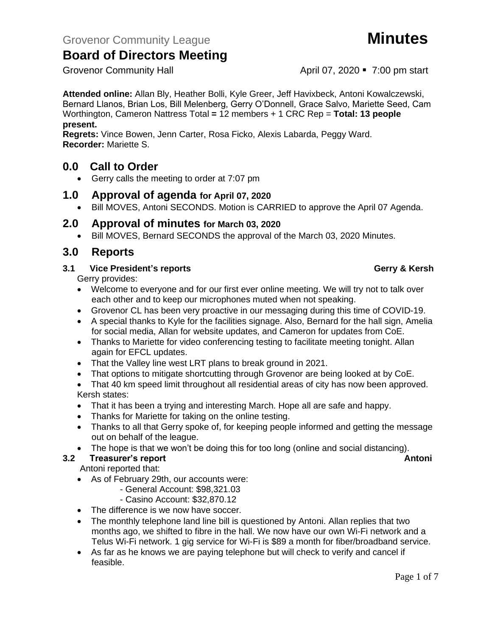Grovenor Community Hall **April 07, 2020** • 7:00 pm start

**Attended online:** Allan Bly, Heather Bolli, Kyle Greer, Jeff Havixbeck, Antoni Kowalczewski, Bernard Llanos, Brian Los, Bill Melenberg, Gerry O'Donnell, Grace Salvo, Mariette Seed, Cam Worthington, Cameron Nattress Total **=** 12 members + 1 CRC Rep = **Total: 13 people present.**

**Regrets:** Vince Bowen, Jenn Carter, Rosa Ficko, Alexis Labarda, Peggy Ward. **Recorder:** Mariette S.

## **0.0 Call to Order**

• Gerry calls the meeting to order at 7:07 pm

## **1.0 Approval of agenda for April 07, 2020**

• Bill MOVES, Antoni SECONDS. Motion is CARRIED to approve the April 07 Agenda.

## **2.0 Approval of minutes for March 03, 2020**

• Bill MOVES, Bernard SECONDS the approval of the March 03, 2020 Minutes.

## **3.0 Reports**

### **3.1 Vice President's reports Gerry & Kersh**

Gerry provides:

- Welcome to everyone and for our first ever online meeting. We will try not to talk over each other and to keep our microphones muted when not speaking.
- Grovenor CL has been very proactive in our messaging during this time of COVID-19.
- A special thanks to Kyle for the facilities signage. Also, Bernard for the hall sign, Amelia for social media, Allan for website updates, and Cameron for updates from CoE.
- Thanks to Mariette for video conferencing testing to facilitate meeting tonight. Allan again for EFCL updates.
- That the Valley line west LRT plans to break ground in 2021.
- That options to mitigate shortcutting through Grovenor are being looked at by CoE.

• That 40 km speed limit throughout all residential areas of city has now been approved. Kersh states:

- That it has been a trying and interesting March. Hope all are safe and happy.
- Thanks for Mariette for taking on the online testing.
- Thanks to all that Gerry spoke of, for keeping people informed and getting the message out on behalf of the league.
- The hope is that we won't be doing this for too long (online and social distancing).

## **3.2 Treasurer's report Antonic Street Antonic Street Antonic Antonic Antonic Antonic Antonic Antonic Antonic Antonic Antonic Antonic Antonic Antonic Antonic Antonic Antonic Antonic Antonic Antonic Antonic Antonic Antonic**

Antoni reported that:

- As of February 29th, our accounts were:
	- General Account: \$98,321.03
	- Casino Account: \$32,870.12
- The difference is we now have soccer.
- The monthly telephone land line bill is questioned by Antoni. Allan replies that two months ago, we shifted to fibre in the hall. We now have our own Wi-Fi network and a Telus Wi-Fi network. 1 gig service for Wi-Fi is \$89 a month for fiber/broadband service.
- As far as he knows we are paying telephone but will check to verify and cancel if feasible.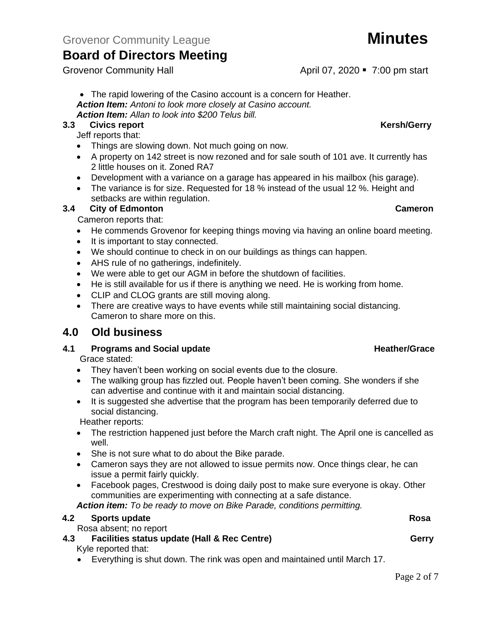• The rapid lowering of the Casino account is a concern for Heather. *Action Item: Antoni to look more closely at Casino account. Action Item: Allan to look into \$200 Telus bill.*

### **3.3** Civics report **Kersh/Gerry**

Jeff reports that:

- Things are slowing down. Not much going on now.
- A property on 142 street is now rezoned and for sale south of 101 ave. It currently has 2 little houses on it. Zoned RA7
- Development with a variance on a garage has appeared in his mailbox (his garage).
- The variance is for size. Requested for 18 % instead of the usual 12 %. Height and setbacks are within regulation.

### **3.4 City of Edmonton Cameron**

Cameron reports that:

- He commends Grovenor for keeping things moving via having an online board meeting.
- It is important to stay connected.
- We should continue to check in on our buildings as things can happen.
- AHS rule of no gatherings, indefinitely.
- We were able to get our AGM in before the shutdown of facilities.
- He is still available for us if there is anything we need. He is working from home.
- CLIP and CLOG grants are still moving along.
- There are creative ways to have events while still maintaining social distancing. Cameron to share more on this.

# **4.0 Old business**

## **4.1 Programs and Social update <b>Heather/Grace Heather/Grace**

Grace stated:

- They haven't been working on social events due to the closure.
- The walking group has fizzled out. People haven't been coming. She wonders if she can advertise and continue with it and maintain social distancing.
- It is suggested she advertise that the program has been temporarily deferred due to social distancing.

Heather reports:

- The restriction happened just before the March craft night. The April one is cancelled as well.
- She is not sure what to do about the Bike parade.
- Cameron says they are not allowed to issue permits now. Once things clear, he can issue a permit fairly quickly.
- Facebook pages, Crestwood is doing daily post to make sure everyone is okay. Other communities are experimenting with connecting at a safe distance.

*Action item: To be ready to move on Bike Parade, conditions permitting.*

| 4.2 | <b>Sports update</b>                                                        | Rosa  |
|-----|-----------------------------------------------------------------------------|-------|
|     | Rosa absent; no report                                                      |       |
| 4.3 | <b>Facilities status update (Hall &amp; Rec Centre)</b>                     | Gerry |
|     | Kyle reported that:                                                         |       |
|     | • Everything is shut down. The rink was open and maintained until March 17. |       |

Grovenor Community Hall **April 07, 2020** • 7:00 pm start

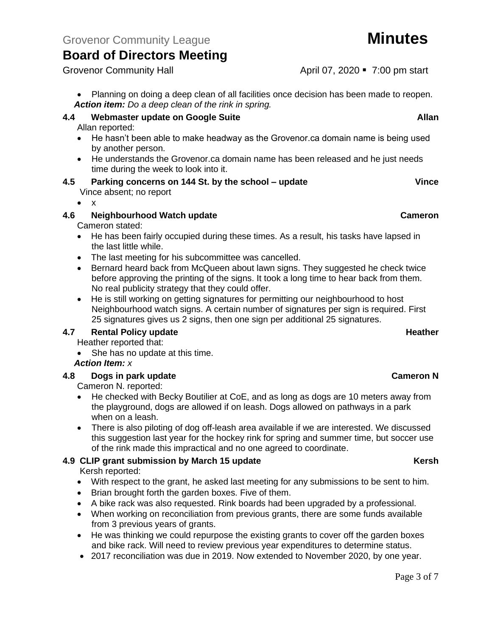• Planning on doing a deep clean of all facilities once decision has been made to reopen. *Action item: Do a deep clean of the rink in spring.*

# **4.4 Webmaster update on Google Suite Allan**

Allan reported:

- He hasn't been able to make headway as the Grovenor.ca domain name is being used by another person.
- He understands the Grovenor.ca domain name has been released and he just needs time during the week to look into it.

# **4.5 Parking concerns on 144 St. by the school – update Vince**

Vince absent; no report

### • x

### **4.6 Neighbourhood Watch update Cameron**

Cameron stated:

- He has been fairly occupied during these times. As a result, his tasks have lapsed in the last little while.
- The last meeting for his subcommittee was cancelled.
- Bernard heard back from McQueen about lawn signs. They suggested he check twice before approving the printing of the signs. It took a long time to hear back from them. No real publicity strategy that they could offer.
- He is still working on getting signatures for permitting our neighbourhood to host Neighbourhood watch signs. A certain number of signatures per sign is required. First 25 signatures gives us 2 signs, then one sign per additional 25 signatures.

## **4.7 Rental Policy update Heather Heather Heather**

- Heather reported that:
- She has no update at this time.

## *Action Item: x*

### **4.8 Dogs in park update Cameron N**

Cameron N. reported:

- He checked with Becky Boutilier at CoE, and as long as dogs are 10 meters away from the playground, dogs are allowed if on leash. Dogs allowed on pathways in a park when on a leash.
- There is also piloting of dog off-leash area available if we are interested. We discussed this suggestion last year for the hockey rink for spring and summer time, but soccer use of the rink made this impractical and no one agreed to coordinate.

## **4.9 CLIP grant submission by March 15 update Kersh**

Kersh reported:

- With respect to the grant, he asked last meeting for any submissions to be sent to him.
- Brian brought forth the garden boxes. Five of them.
- A bike rack was also requested. Rink boards had been upgraded by a professional.
- When working on reconciliation from previous grants, there are some funds available from 3 previous years of grants.
- He was thinking we could repurpose the existing grants to cover off the garden boxes and bike rack. Will need to review previous year expenditures to determine status.
- 2017 reconciliation was due in 2019. Now extended to November 2020, by one year.

Grovenor Community Hall **April 07, 2020** • 7:00 pm start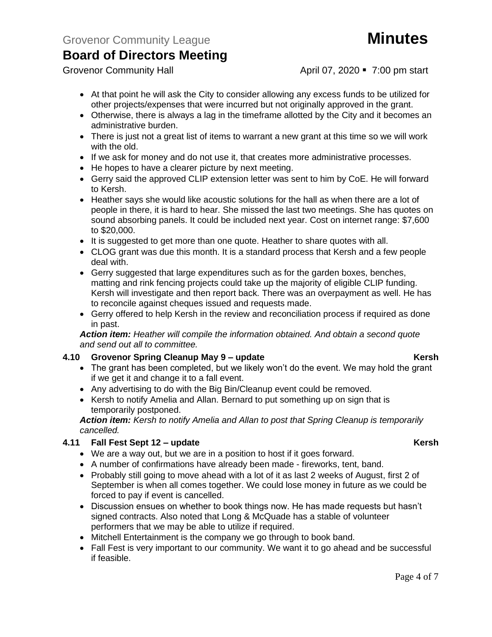Grovenor Community Hall **April 07, 2020** • 7:00 pm start

- At that point he will ask the City to consider allowing any excess funds to be utilized for other projects/expenses that were incurred but not originally approved in the grant.
- Otherwise, there is always a lag in the timeframe allotted by the City and it becomes an administrative burden.
- There is just not a great list of items to warrant a new grant at this time so we will work with the old.
- If we ask for money and do not use it, that creates more administrative processes.
- He hopes to have a clearer picture by next meeting.
- Gerry said the approved CLIP extension letter was sent to him by CoE. He will forward to Kersh.
- Heather says she would like acoustic solutions for the hall as when there are a lot of people in there, it is hard to hear. She missed the last two meetings. She has quotes on sound absorbing panels. It could be included next year. Cost on internet range: \$7,600 to \$20,000.
- It is suggested to get more than one quote. Heather to share quotes with all.
- CLOG grant was due this month. It is a standard process that Kersh and a few people deal with.
- Gerry suggested that large expenditures such as for the garden boxes, benches, matting and rink fencing projects could take up the majority of eligible CLIP funding. Kersh will investigate and then report back. There was an overpayment as well. He has to reconcile against cheques issued and requests made.
- Gerry offered to help Kersh in the review and reconciliation process if required as done in past.

*Action item: Heather will compile the information obtained. And obtain a second quote and send out all to committee.*

### **4.10 Grovenor Spring Cleanup May 9 – update Kersh**

- The grant has been completed, but we likely won't do the event. We may hold the grant if we get it and change it to a fall event.
- Any advertising to do with the Big Bin/Cleanup event could be removed.
- Kersh to notify Amelia and Allan. Bernard to put something up on sign that is temporarily postponed.

*Action item: Kersh to notify Amelia and Allan to post that Spring Cleanup is temporarily cancelled.*

### **4.11 Fall Fest Sept 12 – update Kersh**

- We are a way out, but we are in a position to host if it goes forward.
- A number of confirmations have already been made fireworks, tent, band.
- Probably still going to move ahead with a lot of it as last 2 weeks of August, first 2 of September is when all comes together. We could lose money in future as we could be forced to pay if event is cancelled.
- Discussion ensues on whether to book things now. He has made requests but hasn't signed contracts. Also noted that Long & McQuade has a stable of volunteer performers that we may be able to utilize if required.
- Mitchell Entertainment is the company we go through to book band.
- Fall Fest is very important to our community. We want it to go ahead and be successful if feasible.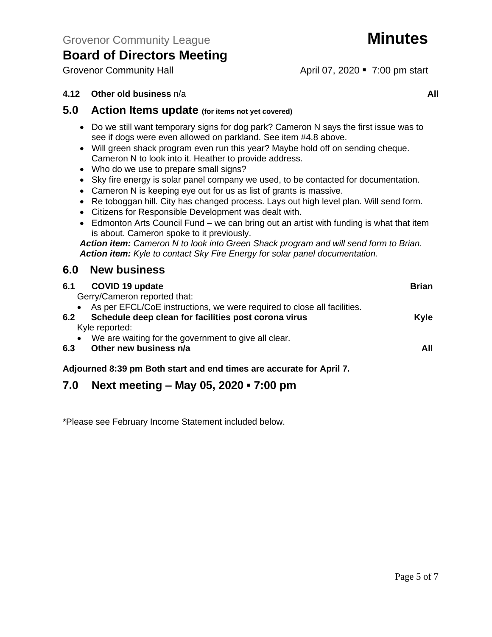Grovenor Community Hall **April 07, 2020** • 7:00 pm start

## **4.12 • Other old business** n/a **All**

# **5.0 Action Items update (for items not yet covered)**

- Do we still want temporary signs for dog park? Cameron N says the first issue was to see if dogs were even allowed on parkland. See item #4.8 above.
- Will green shack program even run this year? Maybe hold off on sending cheque. Cameron N to look into it. Heather to provide address.
- Who do we use to prepare small signs?
- Sky fire energy is solar panel company we used, to be contacted for documentation.
- Cameron N is keeping eye out for us as list of grants is massive.
- Re toboggan hill. City has changed process. Lays out high level plan. Will send form.
- Citizens for Responsible Development was dealt with.
- Edmonton Arts Council Fund we can bring out an artist with funding is what that item is about. Cameron spoke to it previously.

*Action item: Cameron N to look into Green Shack program and will send form to Brian. Action item: Kyle to contact Sky Fire Energy for solar panel documentation.*

# **6.0 New business**

| <b>COVID 19 update</b><br>6.1                                                                                             | <b>Brian</b> |
|---------------------------------------------------------------------------------------------------------------------------|--------------|
| Gerry/Cameron reported that:<br>• As per EFCL/CoE instructions, we were required to close all facilities.                 |              |
| Schedule deep clean for facilities post corona virus<br>6.2                                                               | <b>Kyle</b>  |
| Kyle reported:                                                                                                            |              |
| We are waiting for the government to give all clear.<br>$\bullet$                                                         |              |
| Other new business n/a<br>6.3                                                                                             | All          |
| — <u>1986 - 1986 - 1986 - 1986 - 1986 - 1986 - 1986 - 1986 - 1986 - 1986 - 1986 - 1986 - 1986 - 1986 - 1986 - 19</u><br>. |              |

### **Adjourned 8:39 pm Both start and end times are accurate for April 7.**

# **7.0 Next meeting – May 05, 2020 ▪ 7:00 pm**

\*Please see February Income Statement included below.

Page 5 of 7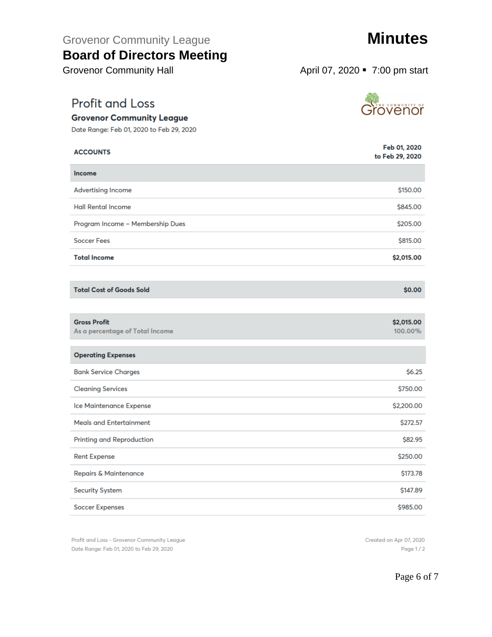# Grovenor Community League **Minutes**

# **Board of Directors Meeting**

Grovenor Community Hall **April 07, 2020** • 7:00 pm start

# **Profit and Loss**

## **Grovenor Community League**

Date Range: Feb 01, 2020 to Feb 29, 2020

| <b>ACCOUNTS</b>                                        | Feb 01, 2020<br>to Feb 29, 2020 |
|--------------------------------------------------------|---------------------------------|
| Income                                                 |                                 |
| <b>Advertising Income</b>                              | \$150.00                        |
| <b>Hall Rental Income</b>                              | \$845.00                        |
| Program Income - Membership Dues                       | \$205.00                        |
| <b>Soccer Fees</b>                                     | \$815,00                        |
| <b>Total Income</b>                                    | \$2,015.00                      |
|                                                        |                                 |
| <b>Total Cost of Goods Sold</b>                        | \$0.00                          |
|                                                        |                                 |
| <b>Gross Profit</b><br>As a percentage of Total Income | \$2,015.00<br>100.00%           |
| <b>Operating Expenses</b>                              |                                 |
| <b>Bank Service Charges</b>                            | \$6.25                          |
| <b>Cleaning Services</b>                               | \$750.00                        |
| Ice Maintenance Expense                                | \$2,200.00                      |
| <b>Meals and Entertainment</b>                         | \$272.57                        |
| Printing and Reproduction                              | \$82.95                         |
| <b>Rent Expense</b>                                    | \$250.00                        |
| <b>Repairs &amp; Maintenance</b>                       | \$173.78                        |
| <b>Security System</b>                                 | \$147.89                        |

**Soccer Expenses** 

Profit and Loss - Grovenor Community League Date Range: Feb 01, 2020 to Feb 29, 2020



te<br>Srovenor

Page 1/2

Page 6 of 7

\$985.00